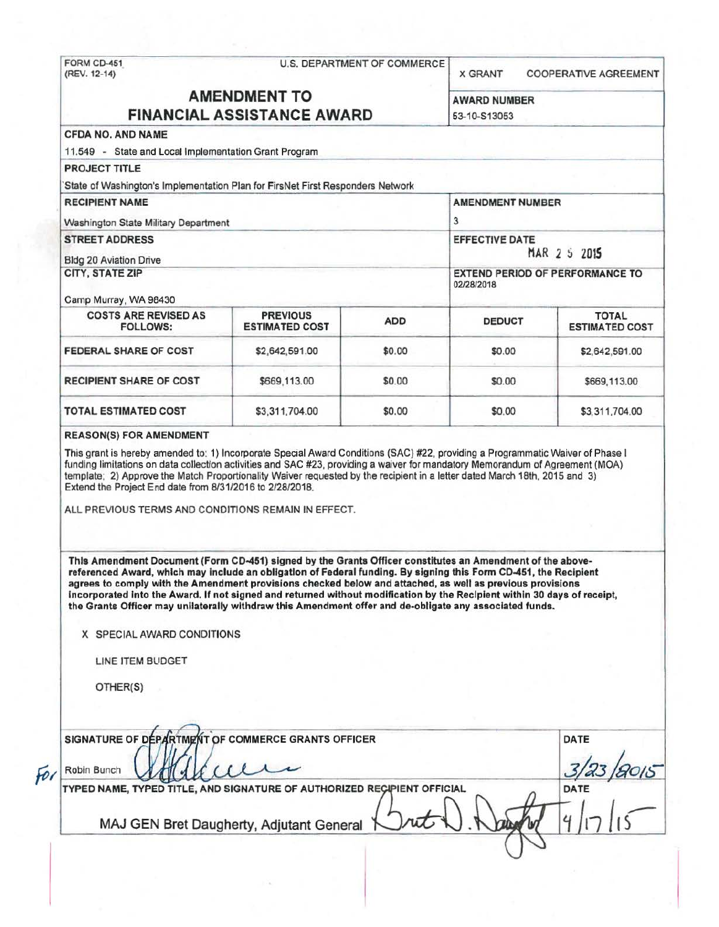# FORM CD-451 U.S. DEPARTMENT OF COMMERCE<br>(REV. 12-14)

X GRANT COOPERATIVE AGREEMENT

## **AMENDMENT TO** AWARD NUMBER **FINANCIAL ASSISTANCE AWARD** 53-10-S13053

| <b>PROJECT TITLE</b><br>State of Washington's Implementation Plan for FirsNet First Responders Network                                                                                                                                                                                                                                                                                                                                                    |                                                                                                                               |            |               |                                       |
|-----------------------------------------------------------------------------------------------------------------------------------------------------------------------------------------------------------------------------------------------------------------------------------------------------------------------------------------------------------------------------------------------------------------------------------------------------------|-------------------------------------------------------------------------------------------------------------------------------|------------|---------------|---------------------------------------|
| <b>RECIPIENT NAME</b><br>Washington State Military Department                                                                                                                                                                                                                                                                                                                                                                                             | <b>AMENDMENT NUMBER</b><br>3<br><b>EFFECTIVE DATE</b><br>MAR 2 5 2015<br><b>EXTEND PERIOD OF PERFORMANCE TO</b><br>02/28/2018 |            |               |                                       |
| <b>STREET ADDRESS</b><br><b>Bldg 20 Aviation Drive</b>                                                                                                                                                                                                                                                                                                                                                                                                    |                                                                                                                               |            |               |                                       |
| <b>CITY, STATE ZIP</b><br>Camp Murray, WA 98430                                                                                                                                                                                                                                                                                                                                                                                                           |                                                                                                                               |            |               |                                       |
| <b>COSTS ARE REVISED AS</b><br>FOLLOWS:                                                                                                                                                                                                                                                                                                                                                                                                                   | <b>PREVIOUS</b><br><b>ESTIMATED COST</b>                                                                                      | <b>ADD</b> | <b>DEDUCT</b> | <b>TOTAL</b><br><b>ESTIMATED COST</b> |
| <b>FEDERAL SHARE OF COST</b>                                                                                                                                                                                                                                                                                                                                                                                                                              | \$2,642,591.00                                                                                                                | \$0.00     | \$0.00        | \$2,642,591.00                        |
| <b>RECIPIENT SHARE OF COST</b>                                                                                                                                                                                                                                                                                                                                                                                                                            | \$669,113.00                                                                                                                  | \$0.00     | \$0.00        | \$669,113.00                          |
| <b>TOTAL ESTIMATED COST</b>                                                                                                                                                                                                                                                                                                                                                                                                                               | \$3,311,704.00                                                                                                                | \$0.00     | \$0.00        | \$3,311,704.00                        |
| <b>REASON(S) FOR AMENDMENT</b>                                                                                                                                                                                                                                                                                                                                                                                                                            |                                                                                                                               |            |               |                                       |
| This grant is hereby amended to: 1) Incorporate Special Award Conditions (SAC) #22, providing a Programmatic Waiver of Phase I<br>funding limitations on data collection activities and SAC #23, providing a waiver for mandatory Memorandum of Agreement (MOA)<br>template; 2) Approve the Match Proportionality Waiver requested by the recipient in a letter dated March 18th, 2015 and 3)<br>Extend the Project End date from 8/31/2016 to 2/28/2018. |                                                                                                                               |            |               |                                       |

This Amendment Document (Form CD-451) signed by the Grants Officer constitutes an Amendment of the abovereferenced Award, which may include an obligation of Federal funding. By signing this Form CD-451, the Recipient agrees to comply with the Amendment provisions checked below and attached, as well as previous provisions incorporated into the Award. If not signed and returned without modification by the Recipient within 30 days of receipt, the Grants Officer may unilaterally withdraw this Amendment offer and de-obligate any associated funds.

X SPECIAL AWARD CONDITIONS

LINE ITEM BUDGET

OTHER(S)

|   | SIGNATURE OF DEPARTMENT OF COMMERCE GRANTS OFFICER                      | DATE |
|---|-------------------------------------------------------------------------|------|
| f | Robin Bunch                                                             |      |
|   | TYPED NAME, TYPED TITLE, AND SIGNATURE OF AUTHORIZED RECIPIENT OFFICIAL | DATE |
|   | MAJ GEN Bret Daugherty, Adjutant General                                |      |